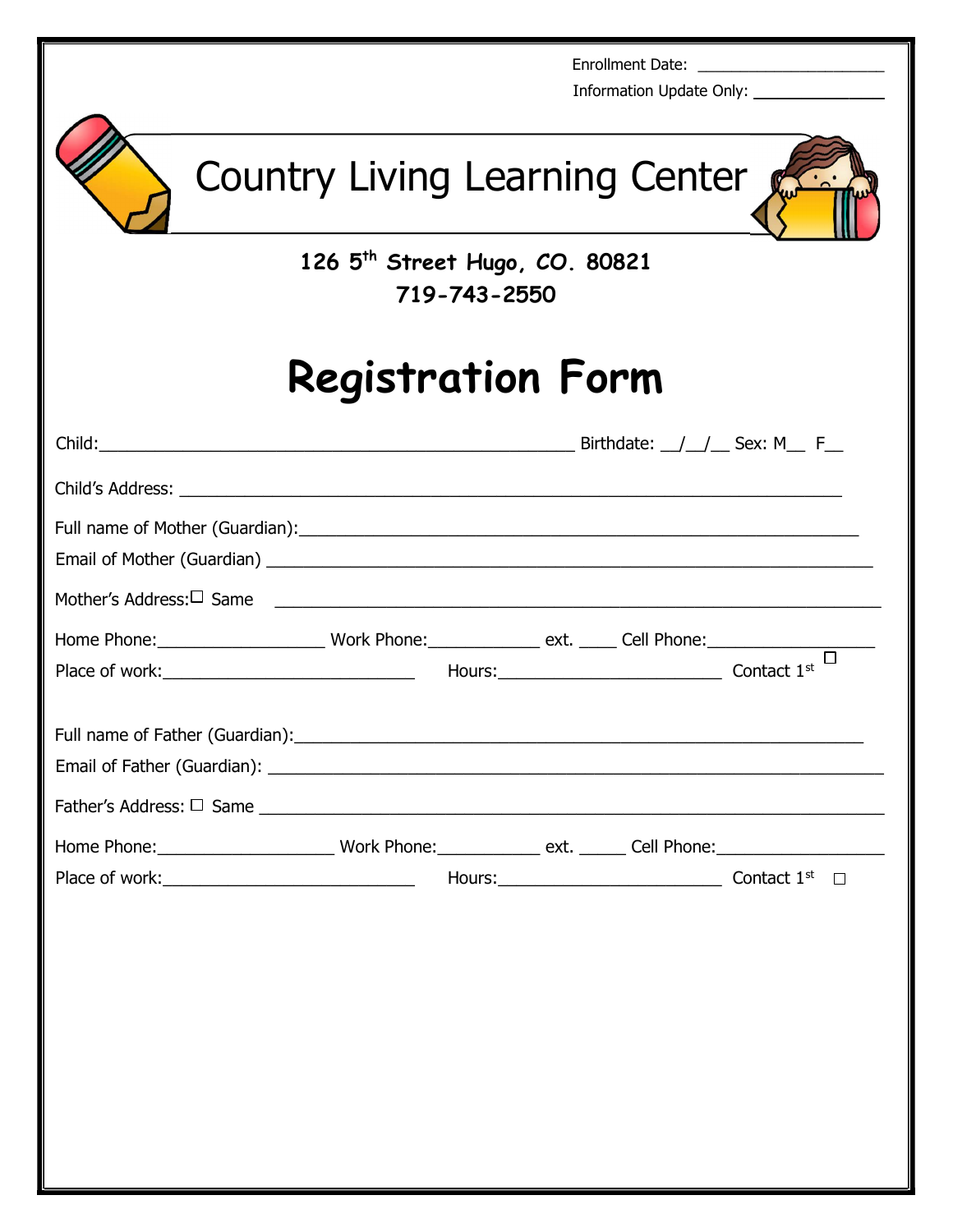|                                                                                    |                                            |              |  | Enrollment Date: ________________________<br>Information Update Only: __________________ |
|------------------------------------------------------------------------------------|--------------------------------------------|--------------|--|------------------------------------------------------------------------------------------|
|                                                                                    | Country Living Learning Center             |              |  | $\ddot{\cdot}$                                                                           |
|                                                                                    | 126 5 <sup>th</sup> Street Hugo, CO. 80821 | 719-743-2550 |  |                                                                                          |
| <b>Registration Form</b>                                                           |                                            |              |  |                                                                                          |
|                                                                                    |                                            |              |  |                                                                                          |
|                                                                                    |                                            |              |  |                                                                                          |
|                                                                                    |                                            |              |  |                                                                                          |
| Mother's Address: $\Box$ Same                                                      |                                            |              |  |                                                                                          |
| Home Phone: Work Phone: ext. Cell Phone:<br>Place of work: Contact 1 <sup>st</sup> |                                            |              |  |                                                                                          |
| Full name of Father (Guardian):                                                    |                                            |              |  |                                                                                          |
|                                                                                    |                                            |              |  |                                                                                          |
|                                                                                    |                                            |              |  |                                                                                          |
|                                                                                    |                                            |              |  |                                                                                          |
|                                                                                    |                                            |              |  |                                                                                          |
|                                                                                    |                                            |              |  |                                                                                          |
|                                                                                    |                                            |              |  |                                                                                          |
|                                                                                    |                                            |              |  |                                                                                          |
|                                                                                    |                                            |              |  |                                                                                          |
|                                                                                    |                                            |              |  |                                                                                          |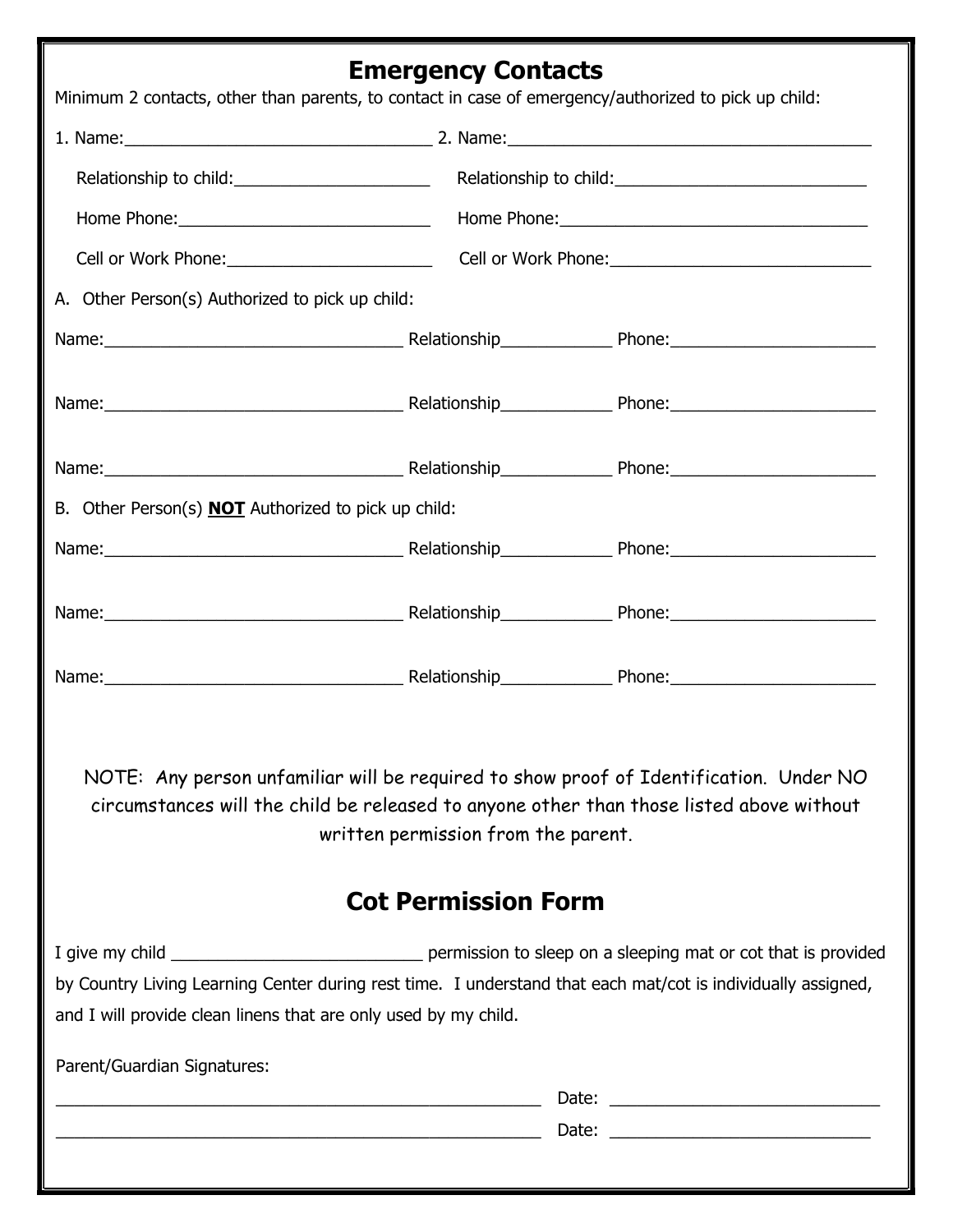# Emergency Contacts

|                                                                 |                                                                                                                         | Minimum 2 contacts, other than parents, to contact in case of emergency/authorized to pick up child:                                                                                                                          |  |  |
|-----------------------------------------------------------------|-------------------------------------------------------------------------------------------------------------------------|-------------------------------------------------------------------------------------------------------------------------------------------------------------------------------------------------------------------------------|--|--|
|                                                                 |                                                                                                                         | 1. Name: 1. Name: 2. Name: 2. Name: 2. Name: 2. Name: 2. Name: 2. Name: 2. Name: 2. Name: 2. 2. Name: 2. 2. Name: 2. 2. Name: 2. 2. Name: 2. 2. Name: 2. 2. Name: 2. 2. Name: 2. 2. Name: 2. 2. Name: 2. 2. Name: 2. 2. Name: |  |  |
|                                                                 |                                                                                                                         |                                                                                                                                                                                                                               |  |  |
|                                                                 |                                                                                                                         |                                                                                                                                                                                                                               |  |  |
|                                                                 |                                                                                                                         |                                                                                                                                                                                                                               |  |  |
| A. Other Person(s) Authorized to pick up child:                 |                                                                                                                         |                                                                                                                                                                                                                               |  |  |
|                                                                 |                                                                                                                         |                                                                                                                                                                                                                               |  |  |
|                                                                 |                                                                                                                         |                                                                                                                                                                                                                               |  |  |
|                                                                 |                                                                                                                         |                                                                                                                                                                                                                               |  |  |
| B. Other Person(s) <b>NOT</b> Authorized to pick up child:      |                                                                                                                         |                                                                                                                                                                                                                               |  |  |
|                                                                 |                                                                                                                         |                                                                                                                                                                                                                               |  |  |
|                                                                 |                                                                                                                         |                                                                                                                                                                                                                               |  |  |
|                                                                 |                                                                                                                         |                                                                                                                                                                                                                               |  |  |
|                                                                 | written permission from the parent.<br><b>Cot Permission Form</b>                                                       | NOTE: Any person unfamiliar will be required to show proof of Identification. Under NO<br>circumstances will the child be released to anyone other than those listed above without                                            |  |  |
|                                                                 |                                                                                                                         |                                                                                                                                                                                                                               |  |  |
|                                                                 |                                                                                                                         | by Country Living Learning Center during rest time. I understand that each mat/cot is individually assigned,                                                                                                                  |  |  |
| and I will provide clean linens that are only used by my child. |                                                                                                                         |                                                                                                                                                                                                                               |  |  |
| Parent/Guardian Signatures:                                     |                                                                                                                         |                                                                                                                                                                                                                               |  |  |
|                                                                 |                                                                                                                         |                                                                                                                                                                                                                               |  |  |
|                                                                 | <u> 1989 - Johann Harry Harry Harry Harry Harry Harry Harry Harry Harry Harry Harry Harry Harry Harry Harry Harry H</u> |                                                                                                                                                                                                                               |  |  |
|                                                                 |                                                                                                                         |                                                                                                                                                                                                                               |  |  |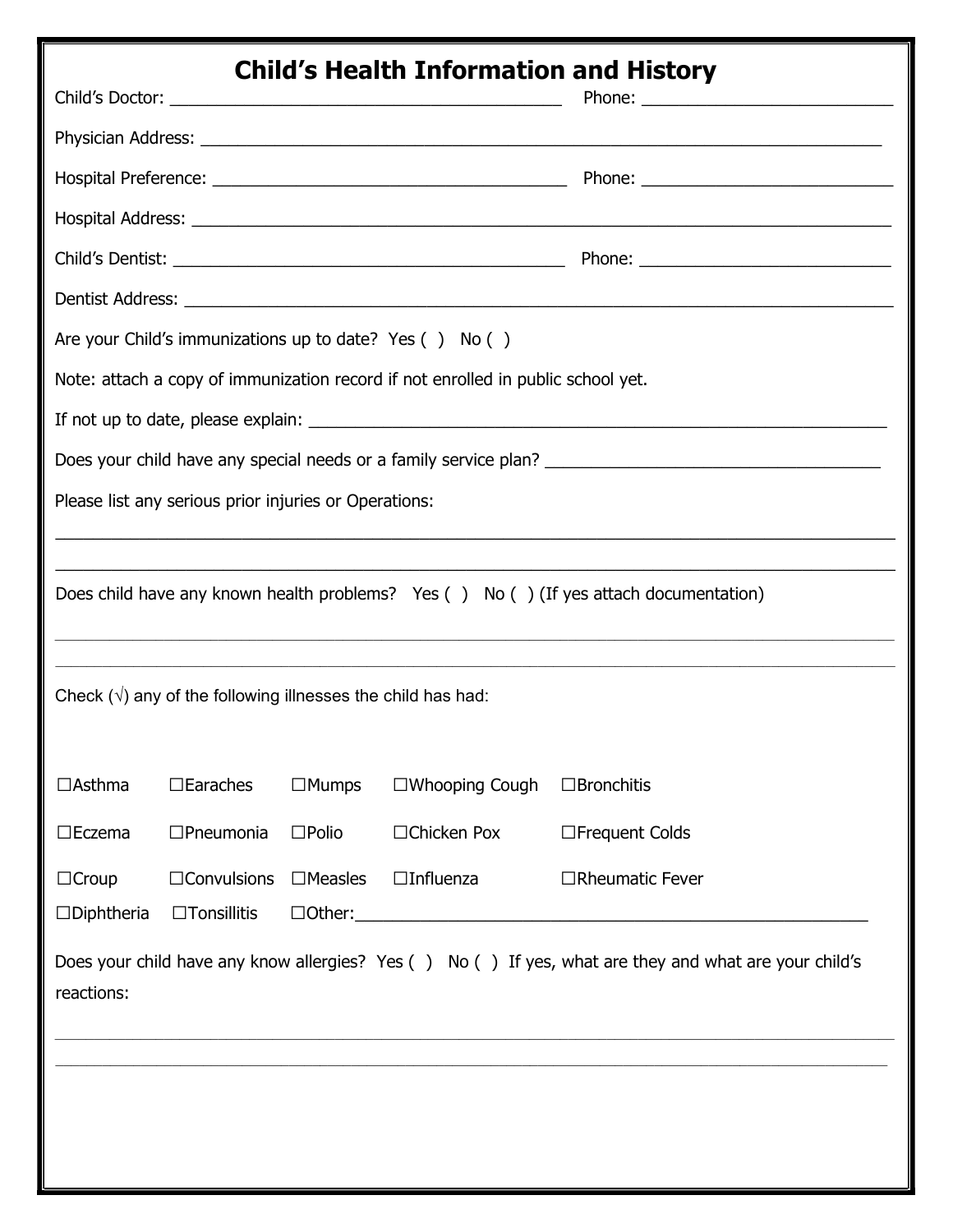| <b>Child's Health Information and History</b>                                         |                                                                     |                 |                                                                                  |                                                                                                                                                                                                                                |
|---------------------------------------------------------------------------------------|---------------------------------------------------------------------|-----------------|----------------------------------------------------------------------------------|--------------------------------------------------------------------------------------------------------------------------------------------------------------------------------------------------------------------------------|
|                                                                                       |                                                                     |                 |                                                                                  |                                                                                                                                                                                                                                |
|                                                                                       |                                                                     |                 |                                                                                  |                                                                                                                                                                                                                                |
|                                                                                       |                                                                     |                 |                                                                                  |                                                                                                                                                                                                                                |
|                                                                                       |                                                                     |                 |                                                                                  |                                                                                                                                                                                                                                |
|                                                                                       |                                                                     |                 |                                                                                  |                                                                                                                                                                                                                                |
|                                                                                       |                                                                     |                 |                                                                                  |                                                                                                                                                                                                                                |
|                                                                                       |                                                                     |                 | Are your Child's immunizations up to date? Yes () No ()                          |                                                                                                                                                                                                                                |
|                                                                                       |                                                                     |                 | Note: attach a copy of immunization record if not enrolled in public school yet. |                                                                                                                                                                                                                                |
|                                                                                       |                                                                     |                 |                                                                                  | If not up to date, please explain: example and the set of the set of the set of the set of the set of the set of the set of the set of the set of the set of the set of the set of the set of the set of the set of the set of |
| Does your child have any special needs or a family service plan?                      |                                                                     |                 |                                                                                  |                                                                                                                                                                                                                                |
|                                                                                       | Please list any serious prior injuries or Operations:               |                 |                                                                                  |                                                                                                                                                                                                                                |
|                                                                                       |                                                                     |                 |                                                                                  |                                                                                                                                                                                                                                |
| Does child have any known health problems? Yes () No () (If yes attach documentation) |                                                                     |                 |                                                                                  |                                                                                                                                                                                                                                |
|                                                                                       |                                                                     |                 |                                                                                  |                                                                                                                                                                                                                                |
|                                                                                       |                                                                     |                 |                                                                                  | ,我们也不能在这里的时候,我们也不能在这里的时候,我们也不能会在这里的时候,我们也不能会在这里的时候,我们也不能会在这里的时候,我们也不能会在这里的时候,我们也不                                                                                                                                              |
|                                                                                       | Check $(\sqrt{})$ any of the following illnesses the child has had: |                 |                                                                                  |                                                                                                                                                                                                                                |
|                                                                                       |                                                                     |                 |                                                                                  |                                                                                                                                                                                                                                |
| $\Box$ Asthma                                                                         | $\Box$ Earaches                                                     | $\Box$ Mumps    | $\Box$ Whooping Cough                                                            | $\Box$ Bronchitis                                                                                                                                                                                                              |
| $\square$ Eczema                                                                      | $\Box$ Pneumonia                                                    | $\square$ Polio | $\Box$ Chicken Pox                                                               | □Frequent Colds                                                                                                                                                                                                                |
| $\Box$ Croup                                                                          | $\Box$ Convulsions                                                  | $\Box$ Measles  | $\Box$ Influenza                                                                 | $\Box$ Rheumatic Fever                                                                                                                                                                                                         |
| $\square$ Diphtheria                                                                  | $\Box$ Tonsillitis                                                  |                 |                                                                                  |                                                                                                                                                                                                                                |
| reactions:                                                                            |                                                                     |                 |                                                                                  | Does your child have any know allergies? Yes () No () If yes, what are they and what are your child's                                                                                                                          |
|                                                                                       |                                                                     |                 |                                                                                  |                                                                                                                                                                                                                                |
|                                                                                       |                                                                     |                 |                                                                                  |                                                                                                                                                                                                                                |
|                                                                                       |                                                                     |                 |                                                                                  |                                                                                                                                                                                                                                |
|                                                                                       |                                                                     |                 |                                                                                  |                                                                                                                                                                                                                                |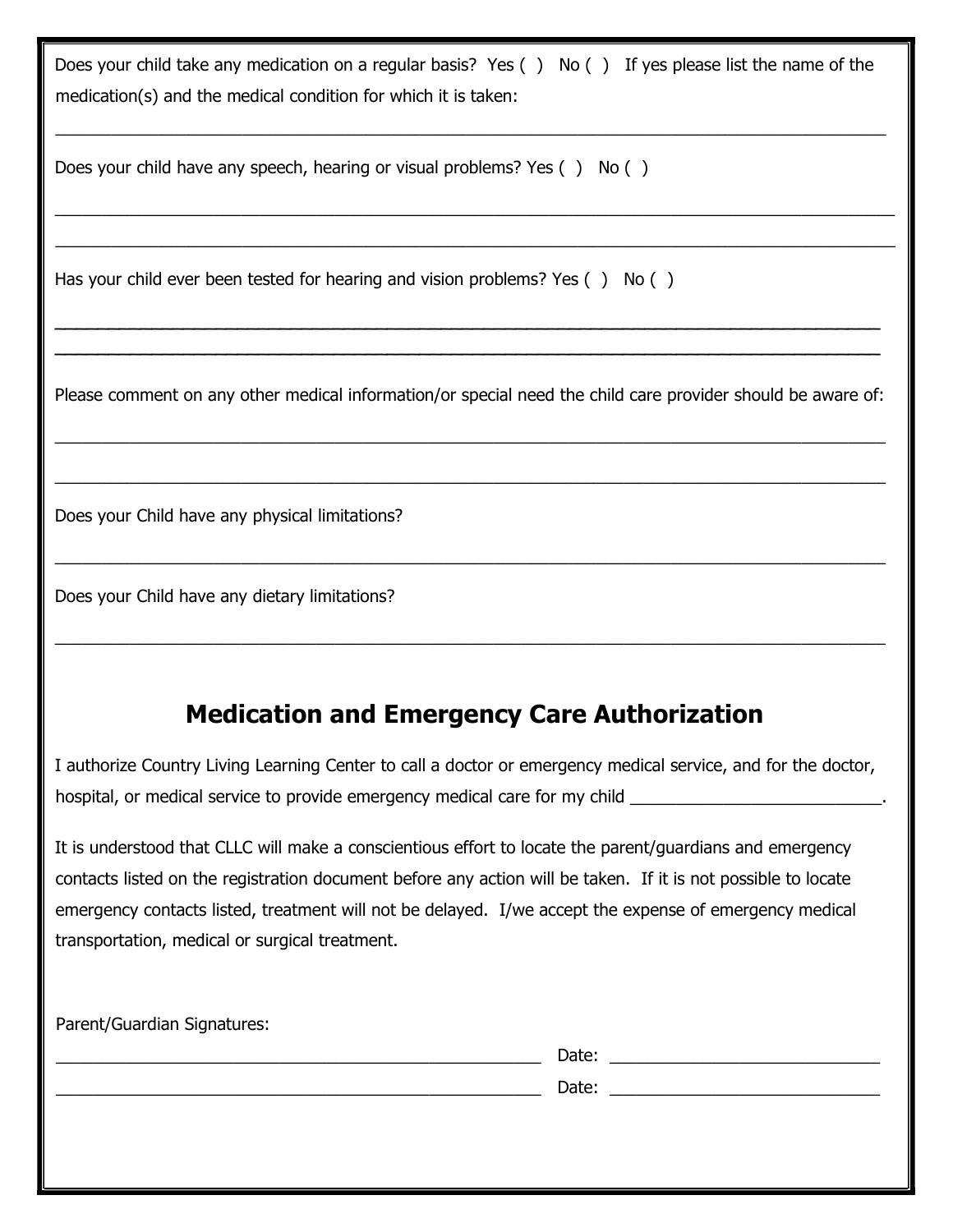Does your child take any medication on a regular basis? Yes () No () If yes please list the name of the medication(s) and the medical condition for which it is taken:

\_\_\_\_\_\_\_\_\_\_\_\_\_\_\_\_\_\_\_\_\_\_\_\_\_\_\_\_\_\_\_\_\_\_\_\_\_\_\_\_\_\_\_\_\_\_\_\_\_\_\_\_\_\_\_\_\_\_\_\_\_\_\_\_\_\_\_\_\_\_\_\_\_\_\_\_\_\_\_\_\_\_\_\_\_\_\_\_\_

 $\_$  , and the set of the set of the set of the set of the set of the set of the set of the set of the set of the set of the set of the set of the set of the set of the set of the set of the set of the set of the set of th  $\_$  , and the set of the set of the set of the set of the set of the set of the set of the set of the set of the set of the set of the set of the set of the set of the set of the set of the set of the set of the set of th

Does your child have any speech, hearing or visual problems? Yes () No ()

Has your child ever been tested for hearing and vision problems? Yes  $( )$  No  $( )$ 

Please comment on any other medical information/or special need the child care provider should be aware of:

\_\_\_\_\_\_\_\_\_\_\_\_\_\_\_\_\_\_\_\_\_\_\_\_\_\_\_\_\_\_\_\_\_\_\_\_\_\_\_\_\_\_\_\_\_\_\_\_\_\_\_\_\_\_\_\_\_\_\_\_\_\_\_\_\_\_\_\_\_\_\_\_\_\_\_\_\_\_\_\_\_\_\_\_\_\_\_\_\_

 $\_$  , and the set of the set of the set of the set of the set of the set of the set of the set of the set of the set of the set of the set of the set of the set of the set of the set of the set of the set of the set of th

 $\_$  , and the set of the set of the set of the set of the set of the set of the set of the set of the set of the set of the set of the set of the set of the set of the set of the set of the set of the set of the set of th

 $\_$  , and the set of the set of the set of the set of the set of the set of the set of the set of the set of the set of the set of the set of the set of the set of the set of the set of the set of the set of the set of th

\_\_\_\_\_\_\_\_\_\_\_\_\_\_\_\_\_\_\_\_\_\_\_\_\_\_\_\_\_\_\_\_\_\_\_\_\_\_\_\_\_\_\_\_\_\_\_\_\_\_\_\_\_\_\_\_\_\_\_\_\_\_\_\_\_\_\_\_\_\_\_\_\_\_\_\_\_ \_\_\_\_\_\_\_\_\_\_\_\_\_\_\_\_\_\_\_\_\_\_\_\_\_\_\_\_\_\_\_\_\_\_\_\_\_\_\_\_\_\_\_\_\_\_\_\_\_\_\_\_\_\_\_\_\_\_\_\_\_\_\_\_\_\_\_\_\_\_\_\_\_\_\_\_\_

Does your Child have any physical limitations?

Does your Child have any dietary limitations?

## Medication and Emergency Care Authorization

I authorize Country Living Learning Center to call a doctor or emergency medical service, and for the doctor, hospital, or medical service to provide emergency medical care for my child

It is understood that CLLC will make a conscientious effort to locate the parent/guardians and emergency contacts listed on the registration document before any action will be taken. If it is not possible to locate emergency contacts listed, treatment will not be delayed. I/we accept the expense of emergency medical transportation, medical or surgical treatment.

| Parent/Guardian Signatures: |       |
|-----------------------------|-------|
|                             | Date: |
|                             | Date: |
|                             |       |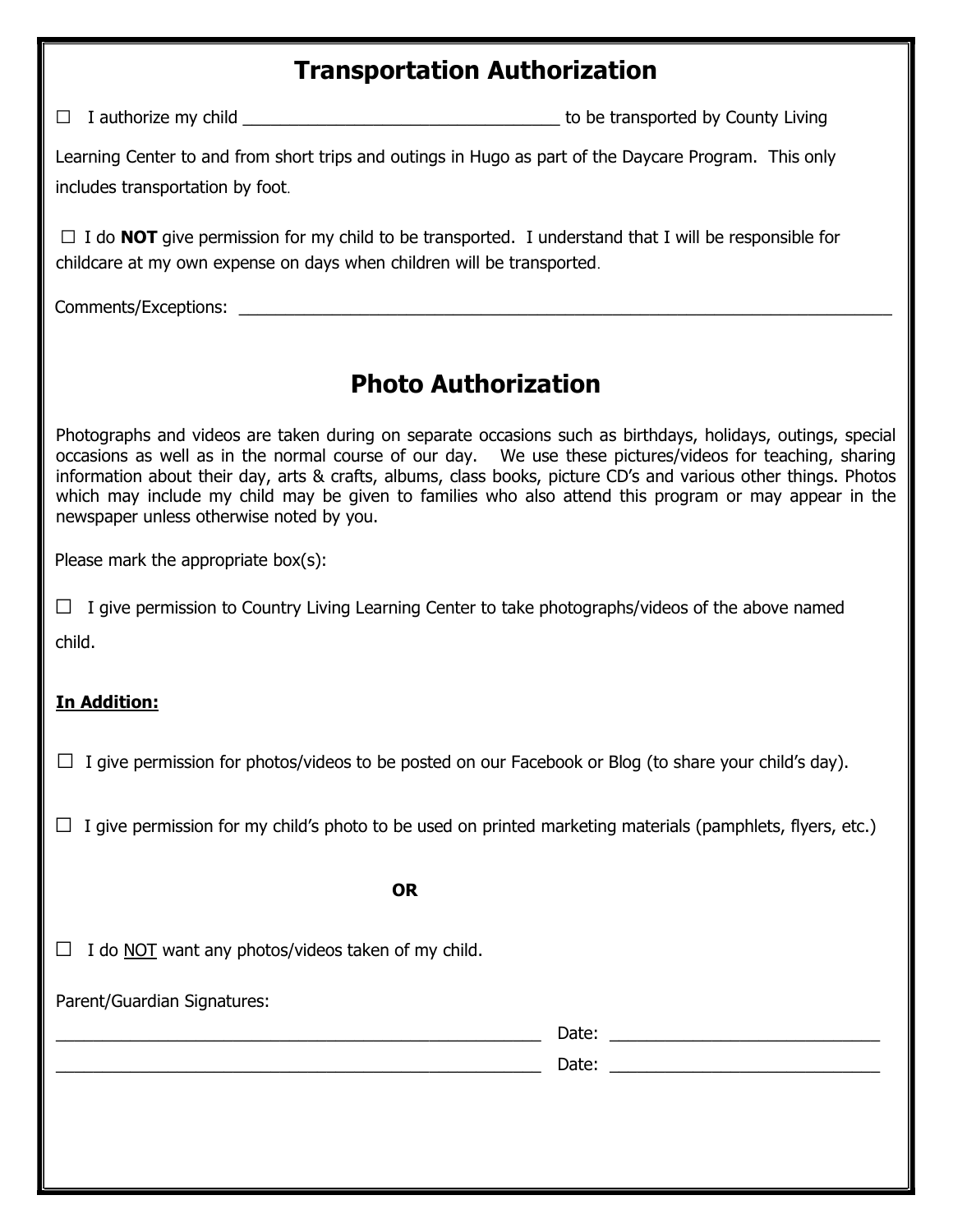#### Transportation Authorization

 $\Box$  I authorize my child  $\Box$  I authorize my child

Learning Center to and from short trips and outings in Hugo as part of the Daycare Program. This only includes transportation by foot.

 $\Box$  I do **NOT** give permission for my child to be transported. I understand that I will be responsible for childcare at my own expense on days when children will be transported.

Comments/Exceptions:  $\blacksquare$ 

### Photo Authorization

Photographs and videos are taken during on separate occasions such as birthdays, holidays, outings, special occasions as well as in the normal course of our day. We use these pictures/videos for teaching, sharing information about their day, arts & crafts, albums, class books, picture CD's and various other things. Photos which may include my child may be given to families who also attend this program or may appear in the newspaper unless otherwise noted by you.

Please mark the appropriate box(s):

 $\Box$  I give permission to Country Living Learning Center to take photographs/videos of the above named

child.

#### In Addition:

 $\Box$  I give permission for photos/videos to be posted on our Facebook or Blog (to share your child's day).

 $\Box$  I give permission for my child's photo to be used on printed marketing materials (pamphlets, flyers, etc.)

**Example 2018 OR** 

 $\Box$  I do NOT want any photos/videos taken of my child.

Parent/Guardian Signatures:

\_\_\_\_\_\_\_\_\_\_\_\_\_\_\_\_\_\_\_\_\_\_\_\_\_\_\_\_\_\_\_\_\_\_\_\_\_\_\_\_\_\_\_\_\_\_\_\_\_\_\_\_ Date: \_\_\_\_\_\_\_\_\_\_\_\_\_\_\_\_\_\_\_\_\_\_\_\_\_\_\_\_\_

\_\_\_\_\_\_\_\_\_\_\_\_\_\_\_\_\_\_\_\_\_\_\_\_\_\_\_\_\_\_\_\_\_\_\_\_\_\_\_\_\_\_\_\_\_\_\_\_\_\_\_\_ Date: \_\_\_\_\_\_\_\_\_\_\_\_\_\_\_\_\_\_\_\_\_\_\_\_\_\_\_\_\_